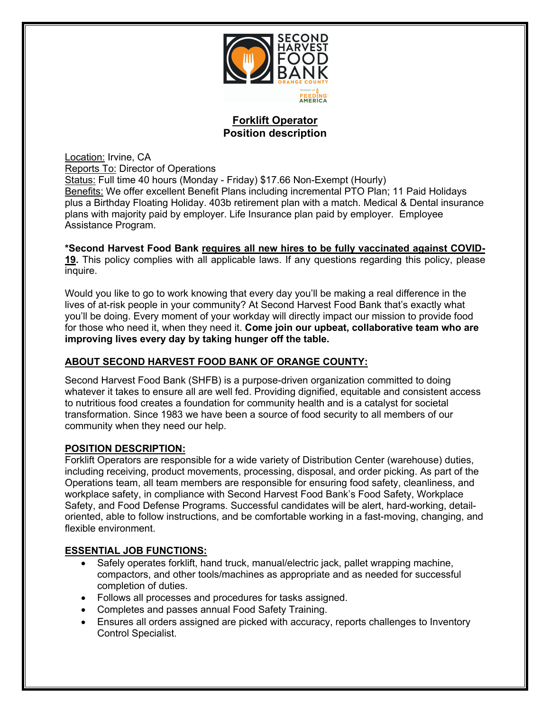

## **Forklift Operator Position description**

Location: Irvine, CA Reports To: Director of Operations Status: Full time 40 hours (Monday - Friday) \$17.66 Non-Exempt (Hourly) Benefits: We offer excellent Benefit Plans including incremental PTO Plan; 11 Paid Holidays plus a Birthday Floating Holiday. 403b retirement plan with a match. Medical & Dental insurance plans with majority paid by employer. Life Insurance plan paid by employer. Employee Assistance Program.

# **\*Second Harvest Food Bank requires all new hires to be fully vaccinated against COVID-**

**19.** This policy complies with all applicable laws. If any questions regarding this policy, please inquire.

Would you like to go to work knowing that every day you'll be making a real difference in the lives of at-risk people in your community? At Second Harvest Food Bank that's exactly what you'll be doing. Every moment of your workday will directly impact our mission to provide food for those who need it, when they need it. **Come join our upbeat, collaborative team who are improving lives every day by taking hunger off the table.** 

### **ABOUT SECOND HARVEST FOOD BANK OF ORANGE COUNTY:**

Second Harvest Food Bank (SHFB) is a purpose-driven organization committed to doing whatever it takes to ensure all are well fed. Providing dignified, equitable and consistent access to nutritious food creates a foundation for community health and is a catalyst for societal transformation. Since 1983 we have been a source of food security to all members of our community when they need our help.

## **POSITION DESCRIPTION:**

Forklift Operators are responsible for a wide variety of Distribution Center (warehouse) duties, including receiving, product movements, processing, disposal, and order picking. As part of the Operations team, all team members are responsible for ensuring food safety, cleanliness, and workplace safety, in compliance with Second Harvest Food Bank's Food Safety, Workplace Safety, and Food Defense Programs. Successful candidates will be alert, hard-working, detailoriented, able to follow instructions, and be comfortable working in a fast-moving, changing, and flexible environment.

#### **ESSENTIAL JOB FUNCTIONS:**

- Safely operates forklift, hand truck, manual/electric jack, pallet wrapping machine, compactors, and other tools/machines as appropriate and as needed for successful completion of duties.
- Follows all processes and procedures for tasks assigned.
- Completes and passes annual Food Safety Training.
- Ensures all orders assigned are picked with accuracy, reports challenges to Inventory Control Specialist.